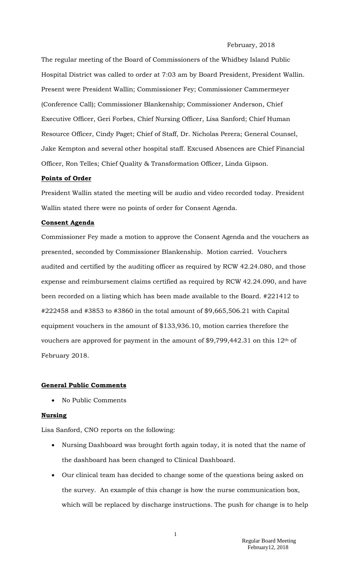#### February, 2018

The regular meeting of the Board of Commissioners of the Whidbey Island Public Hospital District was called to order at 7:03 am by Board President, President Wallin. Present were President Wallin; Commissioner Fey; Commissioner Cammermeyer (Conference Call); Commissioner Blankenship; Commissioner Anderson, Chief Executive Officer, Geri Forbes, Chief Nursing Officer, Lisa Sanford; Chief Human Resource Officer, Cindy Paget; Chief of Staff, Dr. Nicholas Perera; General Counsel, Jake Kempton and several other hospital staff. Excused Absences are Chief Financial Officer, Ron Telles; Chief Quality & Transformation Officer, Linda Gipson.

### **Points of Order**

President Wallin stated the meeting will be audio and video recorded today. President Wallin stated there were no points of order for Consent Agenda.

### **Consent Agenda**

Commissioner Fey made a motion to approve the Consent Agenda and the vouchers as presented, seconded by Commissioner Blankenship. Motion carried. Vouchers audited and certified by the auditing officer as required by RCW 42.24.080, and those expense and reimbursement claims certified as required by RCW 42.24.090, and have been recorded on a listing which has been made available to the Board. #221412 to #222458 and #3853 to #3860 in the total amount of \$9,665,506.21 with Capital equipment vouchers in the amount of \$133,936.10, motion carries therefore the vouchers are approved for payment in the amount of \$9,799,442.31 on this  $12<sup>th</sup>$  of February 2018.

### **General Public Comments**

No Public Comments

#### **Nursing**

Lisa Sanford, CNO reports on the following:

- Nursing Dashboard was brought forth again today, it is noted that the name of the dashboard has been changed to Clinical Dashboard.
- Our clinical team has decided to change some of the questions being asked on the survey. An example of this change is how the nurse communication box, which will be replaced by discharge instructions. The push for change is to help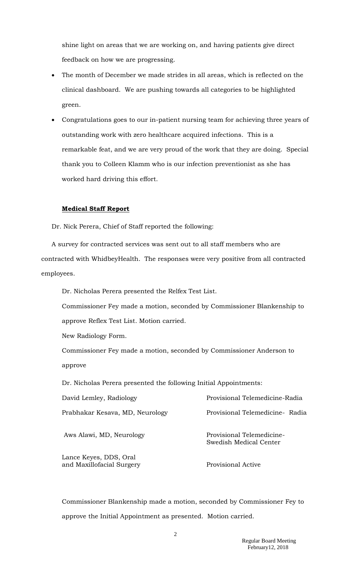shine light on areas that we are working on, and having patients give direct feedback on how we are progressing.

- The month of December we made strides in all areas, which is reflected on the clinical dashboard. We are pushing towards all categories to be highlighted green.
- Congratulations goes to our in-patient nursing team for achieving three years of outstanding work with zero healthcare acquired infections. This is a remarkable feat, and we are very proud of the work that they are doing. Special thank you to Colleen Klamm who is our infection preventionist as she has worked hard driving this effort.

### **Medical Staff Report**

Dr. Nick Perera, Chief of Staff reported the following:

A survey for contracted services was sent out to all staff members who are contracted with WhidbeyHealth. The responses were very positive from all contracted employees.

Dr. Nicholas Perera presented the Relfex Test List.

Commissioner Fey made a motion, seconded by Commissioner Blankenship to approve Reflex Test List. Motion carried.

New Radiology Form.

Commissioner Fey made a motion, seconded by Commissioner Anderson to approve

Dr. Nicholas Perera presented the following Initial Appointments:

| David Lemley, Radiology                             | Provisional Telemedicine-Radia                      |
|-----------------------------------------------------|-----------------------------------------------------|
| Prabhakar Kesava, MD, Neurology                     | Provisional Telemedicine-Radia                      |
| Aws Alawi, MD, Neurology                            | Provisional Telemedicine-<br>Swedish Medical Center |
| Lance Keyes, DDS, Oral<br>and Maxillofacial Surgery | Provisional Active                                  |

Commissioner Blankenship made a motion, seconded by Commissioner Fey to approve the Initial Appointment as presented. Motion carried.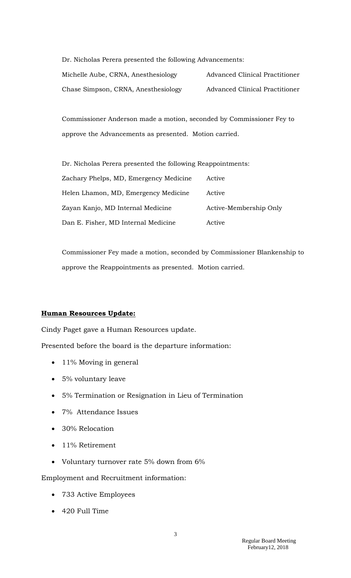| Dr. Nicholas Perera presented the following Advancements: |                                |  |
|-----------------------------------------------------------|--------------------------------|--|
| Michelle Aube, CRNA, Anesthesiology                       | Advanced Clinical Practitioner |  |
| Chase Simpson, CRNA, Anesthesiology                       | Advanced Clinical Practitioner |  |

Commissioner Anderson made a motion, seconded by Commissioner Fey to approve the Advancements as presented. Motion carried.

| Dr. Nicholas Perera presented the following Reappointments: |                        |
|-------------------------------------------------------------|------------------------|
| Zachary Phelps, MD, Emergency Medicine                      | Active                 |
| Helen Lhamon, MD, Emergency Medicine                        | Active                 |
| Zayan Kanjo, MD Internal Medicine                           | Active-Membership Only |
| Dan E. Fisher, MD Internal Medicine                         | Active                 |

Commissioner Fey made a motion, seconded by Commissioner Blankenship to approve the Reappointments as presented. Motion carried.

# **Human Resources Update:**

Cindy Paget gave a Human Resources update.

Presented before the board is the departure information:

- 11% Moving in general
- 5% voluntary leave
- 5% Termination or Resignation in Lieu of Termination
- 7% Attendance Issues
- 30% Relocation
- 11% Retirement
- Voluntary turnover rate 5% down from 6%

Employment and Recruitment information:

- 733 Active Employees
- 420 Full Time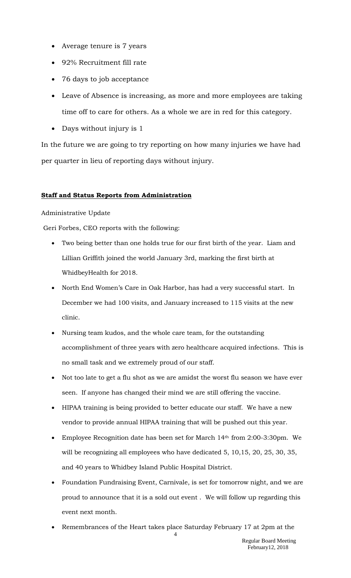- Average tenure is 7 years
- 92% Recruitment fill rate
- 76 days to job acceptance
- Leave of Absence is increasing, as more and more employees are taking time off to care for others. As a whole we are in red for this category.
- Days without injury is 1

In the future we are going to try reporting on how many injuries we have had per quarter in lieu of reporting days without injury.

## **Staff and Status Reports from Administration**

## Administrative Update

Geri Forbes, CEO reports with the following:

- Two being better than one holds true for our first birth of the year. Liam and Lillian Griffith joined the world January 3rd, marking the first birth at WhidbeyHealth for 2018.
- North End Women's Care in Oak Harbor, has had a very successful start. In December we had 100 visits, and January increased to 115 visits at the new clinic.
- Nursing team kudos, and the whole care team, for the outstanding accomplishment of three years with zero healthcare acquired infections. This is no small task and we extremely proud of our staff.
- Not too late to get a flu shot as we are amidst the worst flu season we have ever seen. If anyone has changed their mind we are still offering the vaccine.
- HIPAA training is being provided to better educate our staff. We have a new vendor to provide annual HIPAA training that will be pushed out this year.
- Employee Recognition date has been set for March 14th from 2:00-3:30pm. We will be recognizing all employees who have dedicated 5, 10,15, 20, 25, 30, 35, and 40 years to Whidbey Island Public Hospital District.
- Foundation Fundraising Event, Carnivale, is set for tomorrow night, and we are proud to announce that it is a sold out event . We will follow up regarding this event next month.
- Remembrances of the Heart takes place Saturday February 17 at 2pm at the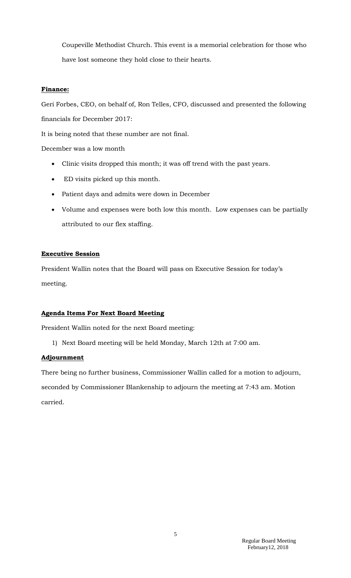Coupeville Methodist Church. This event is a memorial celebration for those who have lost someone they hold close to their hearts.

## **Finance:**

Geri Forbes, CEO, on behalf of, Ron Telles, CFO, discussed and presented the following financials for December 2017:

It is being noted that these number are not final.

December was a low month

- Clinic visits dropped this month; it was off trend with the past years.
- ED visits picked up this month.
- Patient days and admits were down in December
- Volume and expenses were both low this month. Low expenses can be partially attributed to our flex staffing.

## **Executive Session**

President Wallin notes that the Board will pass on Executive Session for today's meeting.

# **Agenda Items For Next Board Meeting**

President Wallin noted for the next Board meeting:

1) Next Board meeting will be held Monday, March 12th at 7:00 am.

## **Adjournment**

There being no further business, Commissioner Wallin called for a motion to adjourn, seconded by Commissioner Blankenship to adjourn the meeting at 7:43 am. Motion carried.